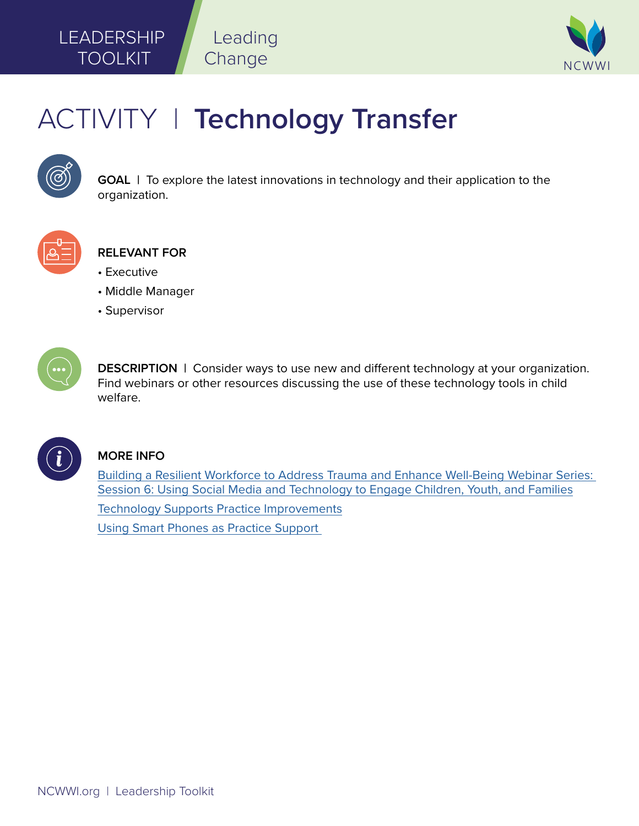## **LEADERSHIP** TOOLKIT



# ACTIVITY | **Technology Transfer**

Leading

Change



**GOAL** | To explore the latest innovations in technology and their application to the organization.



### **RELEVANT FOR**

- Executive
- Middle Manager
- Supervisor



**DESCRIPTION** | Consider ways to use new and different technology at your organization. Find webinars or other resources discussing the use of these technology tools in child welfare.



#### **MORE INFO**

[Building a Resilient Workforce to Address Trauma and Enhance Well-Being Webinar Series:](https://www.ncwwi.org/index.php/supporting-the-virtual-workforce-session-6)  [Session 6: Using Social Media and Technology to Engage Children, Youth, and Families](https://www.ncwwi.org/index.php/supporting-the-virtual-workforce-session-6)

[Technology Supports Practice Improvements](https://www.ncwwi.org/files/--V3-ROOT/NCWWI_PRODUCTS/DOCUMENTS/Technology_Supports_Practice_Improvements_1-page_summary.pdf)

[Using Smart Phones as Practice Support](https://www.ncwwi.org/index.php/resourcemenu/resource-library/practice-supports/1576-using-smart-phones-as-practice-support/file)